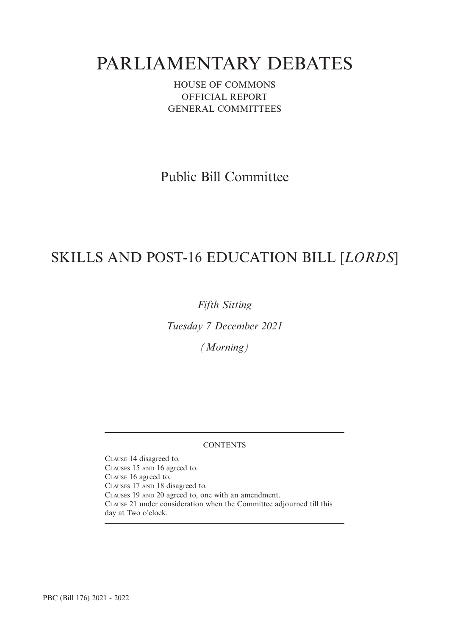# PARLIAMENTARY DEBATES

HOUSE OF COMMONS OFFICIAL REPORT GENERAL COMMITTEES

Public Bill Committee

## SKILLS AND POST-16 EDUCATION BILL [*LORDS*]

*Fifth Sitting*

*Tuesday 7 December 2021*

*(Morning)*

## **CONTENTS**

CLAUSE 14 disagreed to. CLAUSES 15 AND 16 agreed to. CLAUSE 16 agreed to. CLAUSES 17 AND 18 disagreed to. CLAUSES 19 AND 20 agreed to, one with an amendment. CLAUSE 21 under consideration when the Committee adjourned till this day at Two o'clock.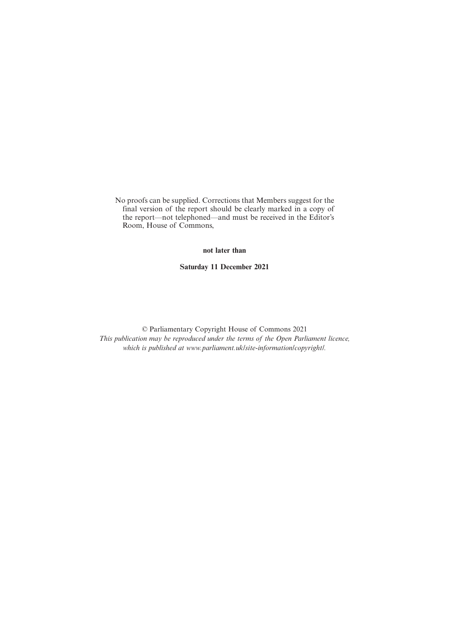No proofs can be supplied. Corrections that Members suggest for the final version of the report should be clearly marked in a copy of the report—not telephoned—and must be received in the Editor's Room, House of Commons,

**not later than**

**Saturday 11 December 2021**

© Parliamentary Copyright House of Commons 2021 *This publication may be reproduced under the terms of the Open Parliament licence, which is published at www.parliament.uk/site-information/copyright/.*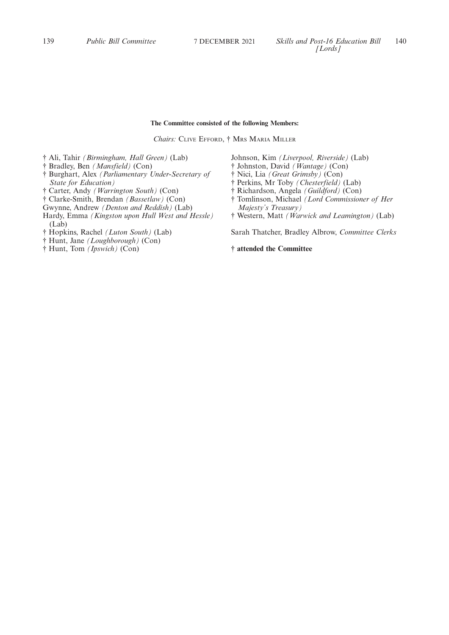## **The Committee consisted of the following Members:**

*Chairs:* CLIVE EFFORD, † MRS MARIA MILLER

† Ali, Tahir *(Birmingham, Hall Green)* (Lab)

- † Bradley, Ben *(Mansfield)* (Con)
- † Burghart, Alex *(Parliamentary Under-Secretary of State for Education)*
- † Carter, Andy *(Warrington South)* (Con)
- † Clarke-Smith, Brendan *(Bassetlaw)* (Con)
- Gwynne, Andrew *(Denton and Reddish)* (Lab)
- Hardy, Emma *(Kingston upon Hull West and Hessle)* (Lab)
- † Hopkins, Rachel *(Luton South)* (Lab)
- † Hunt, Jane *(Loughborough)* (Con)
- † Hunt, Tom *(Ipswich)* (Con)
- Johnson, Kim *(Liverpool, Riverside)* (Lab)
- † Johnston, David *(Wantage)* (Con)
- † Nici, Lia *(Great Grimsby)* (Con)
- † Perkins, Mr Toby *(Chesterfield)* (Lab)
- † Richardson, Angela *(Guildford)* (Con)
- † Tomlinson, Michael *(Lord Commissioner of Her Majesty's Treasury)*
- † Western, Matt *(Warwick and Leamington)* (Lab)

Sarah Thatcher, Bradley Albrow, *Committee Clerks*

**† attended the Committee**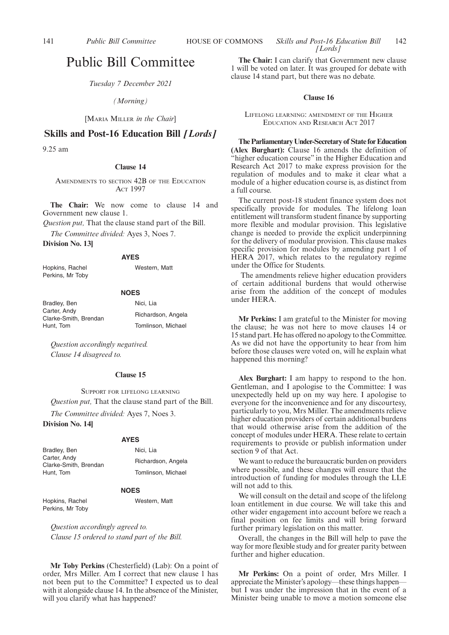## Public Bill Committee

*Tuesday 7 December 2021*

*(Morning)*

[MARIA MILLER *in the Chair*]

## **Skills and Post-16 Education Bill** *[Lords]*

9.25 am

#### **Clause 14**

AMENDMENTS TO SECTION 42B OF THE EDUCATION ACT 1997

**The Chair:** We now come to clause 14 and Government new clause 1.

*Question put,* That the clause stand part of the Bill.

*The Committee divided:* Ayes 3, Noes 7.

**Division No. 13]**

#### **AYES**

Hopkins, Rachel Perkins, Mr Toby

Western, Matt

## **NOES**

| Bradley, Ben                          | Nici. Lia          |
|---------------------------------------|--------------------|
| Carter, Andy<br>Clarke-Smith. Brendan | Richardson, Angela |
| Hunt. Tom                             | Tomlinson, Michael |

*Question accordingly negatived. Clause 14 disagreed to.*

## **Clause 15**

SUPPORT FOR LIFELONG LEARNING *Question put,* That the clause stand part of the Bill. *The Committee divided:* Ayes 7, Noes 3.

## **Division No. 14]**

## **AYES**

| Bradley, Ben                          | Nici. Lia          |
|---------------------------------------|--------------------|
| Carter, Andy<br>Clarke-Smith. Brendan | Richardson, Angela |
| Hunt. Tom                             | Tomlinson, Michael |

#### **NOES**

Hopkins, Rachel Perkins, Mr Toby Western, Matt

*Question accordingly agreed to. Clause 15 ordered to stand part of the Bill.*

**Mr Toby Perkins** (Chesterfield) (Lab): On a point of order, Mrs Miller. Am I correct that new clause 1 has not been put to the Committee? I expected us to deal with it alongside clause 14. In the absence of the Minister, will you clarify what has happened?

**The Chair:** I can clarify that Government new clause 1 will be voted on later. It was grouped for debate with clause 14 stand part, but there was no debate.

#### **Clause 16**

## LIFELONG LEARNING: AMENDMENT OF THE HIGHER EDUCATION AND RESEARCH ACT 2017

**The Parliamentary Under-Secretary of State for Education (Alex Burghart):** Clause 16 amends the definition of "higher education course" in the Higher Education and Research Act 2017 to make express provision for the regulation of modules and to make it clear what a module of a higher education course is, as distinct from a full course.

The current post-18 student finance system does not specifically provide for modules. The lifelong loan entitlement will transform student finance by supporting more flexible and modular provision. This legislative change is needed to provide the explicit underpinning for the delivery of modular provision. This clause makes specific provision for modules by amending part 1 of HERA 2017, which relates to the regulatory regime under the Office for Students.

The amendments relieve higher education providers of certain additional burdens that would otherwise arise from the addition of the concept of modules under HERA.

**Mr Perkins:** I am grateful to the Minister for moving the clause; he was not here to move clauses 14 or 15 stand part. He has offered no apology to the Committee. As we did not have the opportunity to hear from him before those clauses were voted on, will he explain what happened this morning?

**Alex Burghart:** I am happy to respond to the hon. Gentleman, and I apologise to the Committee: I was unexpectedly held up on my way here. I apologise to everyone for the inconvenience and for any discourtesy, particularly to you, Mrs Miller. The amendments relieve higher education providers of certain additional burdens that would otherwise arise from the addition of the concept of modules under HERA. These relate to certain requirements to provide or publish information under section 9 of that Act.

We want to reduce the bureaucratic burden on providers where possible, and these changes will ensure that the introduction of funding for modules through the LLE will not add to this.

We will consult on the detail and scope of the lifelong loan entitlement in due course. We will take this and other wider engagement into account before we reach a final position on fee limits and will bring forward further primary legislation on this matter.

Overall, the changes in the Bill will help to pave the way for more flexible study and for greater parity between further and higher education.

**Mr Perkins:** On a point of order, Mrs Miller. I appreciate the Minister's apology—these things happen but I was under the impression that in the event of a Minister being unable to move a motion someone else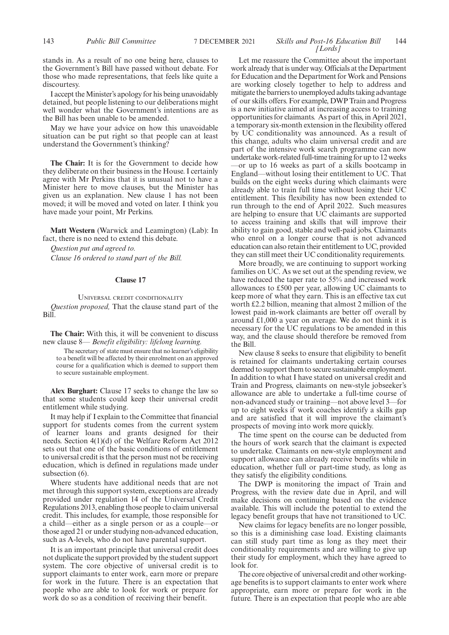stands in. As a result of no one being here, clauses to the Government's Bill have passed without debate. For those who made representations, that feels like quite a discourtesy.

I accept the Minister's apology for his being unavoidably detained, but people listening to our deliberations might well wonder what the Government's intentions are as the Bill has been unable to be amended.

May we have your advice on how this unavoidable situation can be put right so that people can at least understand the Government's thinking?

**The Chair:** It is for the Government to decide how they deliberate on their business in the House. I certainly agree with Mr Perkins that it is unusual not to have a Minister here to move clauses, but the Minister has given us an explanation. New clause 1 has not been moved; it will be moved and voted on later. I think you have made your point, Mr Perkins.

**Matt Western** (Warwick and Leamington) (Lab): In fact, there is no need to extend this debate.

*Question put and agreed to. Clause 16 ordered to stand part of the Bill.*

#### **Clause 17**

#### UNIVERSAL CREDIT CONDITIONALITY

*Question proposed,* That the clause stand part of the Bill.

**The Chair:** With this, it will be convenient to discuss new clause 8— *Benefit eligibility: lifelong learning.*

The secretary of state must ensure that no learner's eligibility to a benefit will be affected by their enrolment on an approved course for a qualification which is deemed to support them to secure sustainable employment.

**Alex Burghart:** Clause 17 seeks to change the law so that some students could keep their universal credit entitlement while studying.

It may help if I explain to the Committee that financial support for students comes from the current system of learner loans and grants designed for their needs. Section 4(1)(d) of the Welfare Reform Act 2012 sets out that one of the basic conditions of entitlement to universal credit is that the person must not be receiving education, which is defined in regulations made under subsection (6).

Where students have additional needs that are not met through this support system, exceptions are already provided under regulation 14 of the Universal Credit Regulations 2013, enabling those people to claim universal credit. This includes, for example, those responsible for a child—either as a single person or as a couple—or those aged 21 or under studying non-advanced education, such as A-levels, who do not have parental support.

It is an important principle that universal credit does not duplicate the support provided by the student support system. The core objective of universal credit is to support claimants to enter work, earn more or prepare for work in the future. There is an expectation that people who are able to look for work or prepare for work do so as a condition of receiving their benefit.

#### 143 *Public Bill Committee Skills and Post-16 Education Bill* 7 DECEMBER 2021 144 *[Lords]*

Let me reassure the Committee about the important work already that is under way. Officials at the Department for Education and the Department for Work and Pensions are working closely together to help to address and mitigate the barriers to unemployed adults taking advantage of our skills offers. For example, DWP Train and Progress is a new initiative aimed at increasing access to training opportunities for claimants. As part of this, in April 2021, a temporary six-month extension in the flexibility offered by UC conditionality was announced. As a result of this change, adults who claim universal credit and are part of the intensive work search programme can now undertake work-related full-time training for up to 12 weeks —or up to 16 weeks as part of a skills bootcamp in England—without losing their entitlement to UC. That builds on the eight weeks during which claimants were already able to train full time without losing their UC entitlement. This flexibility has now been extended to run through to the end of April 2022. Such measures are helping to ensure that UC claimants are supported to access training and skills that will improve their ability to gain good, stable and well-paid jobs. Claimants who enrol on a longer course that is not advanced education can also retain their entitlement to UC, provided they can still meet their UC conditionality requirements.

More broadly, we are continuing to support working families on UC. As we set out at the spending review, we have reduced the taper rate to 55% and increased work allowances to £500 per year, allowing UC claimants to keep more of what they earn. This is an effective tax cut worth £2.2 billion, meaning that almost 2 million of the lowest paid in-work claimants are better off overall by around £1,000 a year on average. We do not think it is necessary for the UC regulations to be amended in this way, and the clause should therefore be removed from the Bill.

New clause 8 seeks to ensure that eligibility to benefit is retained for claimants undertaking certain courses deemed to support them to secure sustainable employment. In addition to what I have stated on universal credit and Train and Progress, claimants on new-style jobseeker's allowance are able to undertake a full-time course of non-advanced study or training—not above level 3—for up to eight weeks if work coaches identify a skills gap and are satisfied that it will improve the claimant's prospects of moving into work more quickly.

The time spent on the course can be deducted from the hours of work search that the claimant is expected to undertake. Claimants on new-style employment and support allowance can already receive benefits while in education, whether full or part-time study, as long as they satisfy the eligibility conditions.

The DWP is monitoring the impact of Train and Progress, with the review date due in April, and will make decisions on continuing based on the evidence available. This will include the potential to extend the legacy benefit groups that have not transitioned to UC.

New claims for legacy benefits are no longer possible, so this is a diminishing case load. Existing claimants can still study part time as long as they meet their conditionality requirements and are willing to give up their study for employment, which they have agreed to look for.

The core objective of universal credit and other workingage benefits is to support claimants to enter work where appropriate, earn more or prepare for work in the future. There is an expectation that people who are able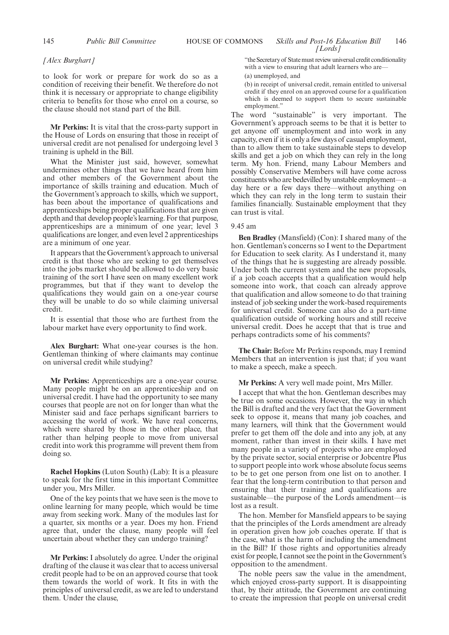## *[Alex Burghart]*

to look for work or prepare for work do so as a condition of receiving their benefit. We therefore do not think it is necessary or appropriate to change eligibility criteria to benefits for those who enrol on a course, so the clause should not stand part of the Bill.

**Mr Perkins:** It is vital that the cross-party support in the House of Lords on ensuring that those in receipt of universal credit are not penalised for undergoing level 3 training is upheld in the Bill.

What the Minister just said, however, somewhat undermines other things that we have heard from him and other members of the Government about the importance of skills training and education. Much of the Government's approach to skills, which we support, has been about the importance of qualifications and apprenticeships being proper qualifications that are given depth and that develop people's learning. For that purpose, apprenticeships are a minimum of one year; level 3 qualifications are longer, and even level 2 apprenticeships are a minimum of one year.

It appears that the Government's approach to universal credit is that those who are seeking to get themselves into the jobs market should be allowed to do very basic training of the sort I have seen on many excellent work programmes, but that if they want to develop the qualifications they would gain on a one-year course they will be unable to do so while claiming universal credit.

It is essential that those who are furthest from the labour market have every opportunity to find work.

**Alex Burghart:** What one-year courses is the hon. Gentleman thinking of where claimants may continue on universal credit while studying?

**Mr Perkins:** Apprenticeships are a one-year course. Many people might be on an apprenticeship and on universal credit. I have had the opportunity to see many courses that people are not on for longer than what the Minister said and face perhaps significant barriers to accessing the world of work. We have real concerns, which were shared by those in the other place, that rather than helping people to move from universal credit into work this programme will prevent them from doing so.

**Rachel Hopkins** (Luton South) (Lab): It is a pleasure to speak for the first time in this important Committee under you, Mrs Miller.

One of the key points that we have seen is the move to online learning for many people, which would be time away from seeking work. Many of the modules last for a quarter, six months or a year. Does my hon. Friend agree that, under the clause, many people will feel uncertain about whether they can undergo training?

**Mr Perkins:** I absolutely do agree. Under the original drafting of the clause it was clear that to access universal credit people had to be on an approved course that took them towards the world of work. It fits in with the principles of universal credit, as we are led to understand them. Under the clause,

"the Secretary of State must review universal credit conditionality with a view to ensuring that adult learners who are-

(a) unemployed, and

(b) in receipt of universal credit, remain entitled to universal credit if they enrol on an approved course for a qualification which is deemed to support them to secure sustainable employment."

The word "sustainable" is very important. The Government's approach seems to be that it is better to get anyone off unemployment and into work in any capacity, even if it is only a few days of casual employment, than to allow them to take sustainable steps to develop skills and get a job on which they can rely in the long term. My hon. Friend, many Labour Members and possibly Conservative Members will have come across constituents who are bedevilled by unstable employment—a day here or a few days there—without anything on which they can rely in the long term to sustain their families financially. Sustainable employment that they can trust is vital.

## 9.45 am

**Ben Bradley** (Mansfield) (Con): I shared many of the hon. Gentleman's concerns so I went to the Department for Education to seek clarity. As I understand it, many of the things that he is suggesting are already possible. Under both the current system and the new proposals, if a job coach accepts that a qualification would help someone into work, that coach can already approve that qualification and allow someone to do that training instead of job seeking under the work-based requirements for universal credit. Someone can also do a part-time qualification outside of working hours and still receive universal credit. Does he accept that that is true and perhaps contradicts some of his comments?

**The Chair:** Before Mr Perkins responds, may I remind Members that an intervention is just that; if you want to make a speech, make a speech.

## **Mr Perkins:** A very well made point, Mrs Miller.

I accept that what the hon. Gentleman describes may be true on some occasions. However, the way in which the Bill is drafted and the very fact that the Government seek to oppose it, means that many job coaches, and many learners, will think that the Government would prefer to get them off the dole and into any job, at any moment, rather than invest in their skills. I have met many people in a variety of projects who are employed by the private sector, social enterprise or Jobcentre Plus to support people into work whose absolute focus seems to be to get one person from one list on to another. I fear that the long-term contribution to that person and ensuring that their training and qualifications are sustainable—the purpose of the Lords amendment—is lost as a result.

The hon. Member for Mansfield appears to be saying that the principles of the Lords amendment are already in operation given how job coaches operate. If that is the case, what is the harm of including the amendment in the Bill? If those rights and opportunities already exist for people, I cannot see the point in the Government's opposition to the amendment.

The noble peers saw the value in the amendment, which enjoyed cross-party support. It is disappointing that, by their attitude, the Government are continuing to create the impression that people on universal credit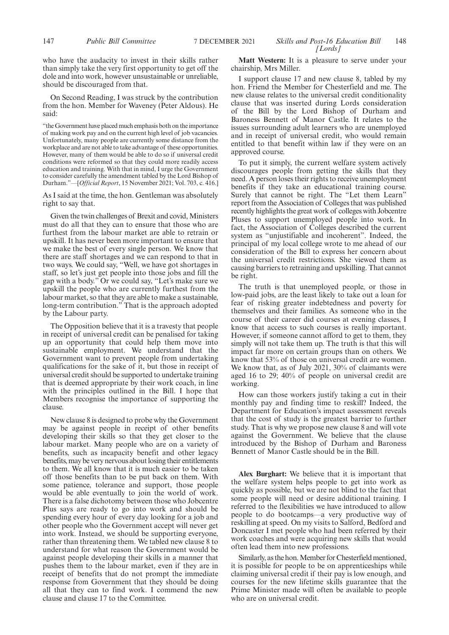who have the audacity to invest in their skills rather than simply take the very first opportunity to get off the dole and into work, however unsustainable or unreliable, should be discouraged from that.

On Second Reading, I was struck by the contribution from the hon. Member for Waveney (Peter Aldous). He said:

"the Government have placed much emphasis both on the importance of making work pay and on the current high level of job vacancies. Unfortunately, many people are currently some distance from the workplace and are not able to take advantage of these opportunities. However, many of them would be able to do so if universal credit conditions were reformed so that they could more readily access education and training. With that in mind, I urge the Government to consider carefully the amendment tabled by the Lord Bishop of Durham."—[*Official Report*, 15 November 2021; Vol. 703, c. 416.]

As I said at the time, the hon. Gentleman was absolutely right to say that.

Given the twin challenges of Brexit and covid, Ministers must do all that they can to ensure that those who are furthest from the labour market are able to retrain or upskill. It has never been more important to ensure that we make the best of every single person. We know that there are staff shortages and we can respond to that in two ways. We could say, "Well, we have got shortages in staff, so let's just get people into those jobs and fill the gap with a body." Or we could say, "Let's make sure we upskill the people who are currently furthest from the labour market, so that they are able to make a sustainable, long-term contribution." That is the approach adopted by the Labour party.

The Opposition believe that it is a travesty that people in receipt of universal credit can be penalised for taking up an opportunity that could help them move into sustainable employment. We understand that the Government want to prevent people from undertaking qualifications for the sake of it, but those in receipt of universal credit should be supported to undertake training that is deemed appropriate by their work coach, in line with the principles outlined in the Bill. I hope that Members recognise the importance of supporting the clause.

New clause 8 is designed to probe why the Government may be against people in receipt of other benefits developing their skills so that they get closer to the labour market. Many people who are on a variety of benefits, such as incapacity benefit and other legacy benefits, may be very nervous about losing their entitlements to them. We all know that it is much easier to be taken off those benefits than to be put back on them. With some patience, tolerance and support, those people would be able eventually to join the world of work. There is a false dichotomy between those who Jobcentre Plus says are ready to go into work and should be spending every hour of every day looking for a job and other people who the Government accept will never get into work. Instead, we should be supporting everyone, rather than threatening them. We tabled new clause 8 to understand for what reason the Government would be against people developing their skills in a manner that pushes them to the labour market, even if they are in receipt of benefits that do not prompt the immediate response from Government that they should be doing all that they can to find work. I commend the new clause and clause 17 to the Committee.

**Matt Western:** It is a pleasure to serve under your chairship, Mrs Miller.

I support clause 17 and new clause 8, tabled by my hon. Friend the Member for Chesterfield and me. The new clause relates to the universal credit conditionality clause that was inserted during Lords consideration of the Bill by the Lord Bishop of Durham and Baroness Bennett of Manor Castle. It relates to the issues surrounding adult learners who are unemployed and in receipt of universal credit, who would remain entitled to that benefit within law if they were on an approved course.

To put it simply, the current welfare system actively discourages people from getting the skills that they need. A person loses their rights to receive unemployment benefits if they take an educational training course. Surely that cannot be right. The "Let them Learn" report from the Association of Colleges that was published recently highlights the great work of colleges with Jobcentre Pluses to support unemployed people into work. In fact, the Association of Colleges described the current system as "unjustifiable and incoherent". Indeed, the principal of my local college wrote to me ahead of our consideration of the Bill to express her concern about the universal credit restrictions. She viewed them as causing barriers to retraining and upskilling. That cannot be right.

The truth is that unemployed people, or those in low-paid jobs, are the least likely to take out a loan for fear of risking greater indebtedness and poverty for themselves and their families. As someone who in the course of their career did courses at evening classes, I know that access to such courses is really important. However, if someone cannot afford to get to them, they simply will not take them up. The truth is that this will impact far more on certain groups than on others. We know that 53% of those on universal credit are women. We know that, as of July 2021, 30% of claimants were aged 16 to 29; 40% of people on universal credit are working.

How can those workers justify taking a cut in their monthly pay and finding time to reskill? Indeed, the Department for Education's impact assessment reveals that the cost of study is the greatest barrier to further study. That is why we propose new clause 8 and will vote against the Government. We believe that the clause introduced by the Bishop of Durham and Baroness Bennett of Manor Castle should be in the Bill.

**Alex Burghart:** We believe that it is important that the welfare system helps people to get into work as quickly as possible, but we are not blind to the fact that some people will need or desire additional training. I referred to the flexibilities we have introduced to allow people to do bootcamps—a very productive way of reskilling at speed. On my visits to Salford, Bedford and Doncaster I met people who had been referred by their work coaches and were acquiring new skills that would often lead them into new professions.

Similarly, as the hon. Member for Chesterfield mentioned, it is possible for people to be on apprenticeships while claiming universal credit if their pay is low enough, and courses for the new lifetime skills guarantee that the Prime Minister made will often be available to people who are on universal credit.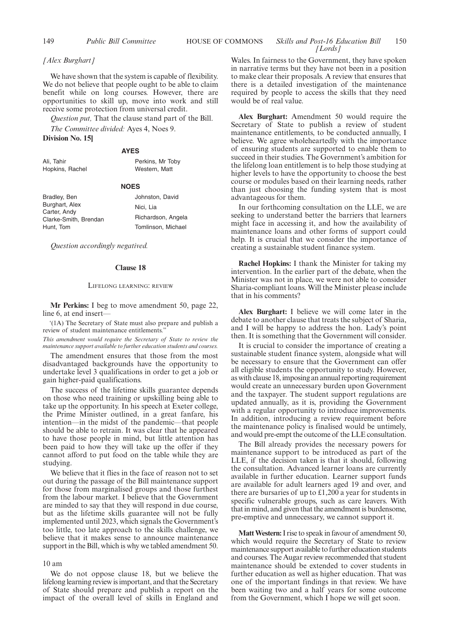## *[Alex Burghart]*

We have shown that the system is capable of flexibility. We do not believe that people ought to be able to claim benefit while on long courses. However, there are opportunities to skill up, move into work and still receive some protection from universal credit.

*Question put,* That the clause stand part of the Bill.

*The Committee divided:* Ayes 4, Noes 9.

## **Division No. 15]**

#### **AYES**

| Ali. Tahir      | Perkins, Mr Toby |
|-----------------|------------------|
| Hopkins, Rachel | Western, Matt    |

## **NOES**

| Bradley, Ben          | Johnston, David    |
|-----------------------|--------------------|
| Burghart, Alex        | Nici. Lia          |
| Carter, Andy          | Richardson, Angela |
| Clarke-Smith, Brendan |                    |
| Hunt, Tom             | Tomlinson, Michael |

*Question accordingly negatived.*

#### **Clause 18**

#### LIFELONG LEARNING: REVIEW

**Mr Perkins:** I beg to move amendment 50, page 22, line 6, at end insert-

'(1A) The Secretary of State must also prepare and publish a review of student maintenance entitlements."

*This amendment would require the Secretary of State to review the maintenance support available to further education students and courses.*

The amendment ensures that those from the most disadvantaged backgrounds have the opportunity to undertake level 3 qualifications in order to get a job or gain higher-paid qualifications.

The success of the lifetime skills guarantee depends on those who need training or upskilling being able to take up the opportunity. In his speech at Exeter college, the Prime Minister outlined, in a great fanfare, his intention—in the midst of the pandemic—that people should be able to retrain. It was clear that he appeared to have those people in mind, but little attention has been paid to how they will take up the offer if they cannot afford to put food on the table while they are studying.

We believe that it flies in the face of reason not to set out during the passage of the Bill maintenance support for those from marginalised groups and those furthest from the labour market. I believe that the Government are minded to say that they will respond in due course, but as the lifetime skills guarantee will not be fully implemented until 2023, which signals the Government's too little, too late approach to the skills challenge, we believe that it makes sense to announce maintenance support in the Bill, which is why we tabled amendment 50.

## 10 am

We do not oppose clause 18, but we believe the lifelong learning review is important, and that the Secretary of State should prepare and publish a report on the impact of the overall level of skills in England and

#### 149 *Public Bill Committee* **HOUSE OF COMMONS** *Skills and Post-16 Education Bill* 150 *[Lords]*

Wales. In fairness to the Government, they have spoken in narrative terms but they have not been in a position to make clear their proposals. A review that ensures that there is a detailed investigation of the maintenance required by people to access the skills that they need would be of real value.

**Alex Burghart:** Amendment 50 would require the Secretary of State to publish a review of student maintenance entitlements, to be conducted annually, I believe. We agree wholeheartedly with the importance of ensuring students are supported to enable them to succeed in their studies. The Government's ambition for the lifelong loan entitlement is to help those studying at higher levels to have the opportunity to choose the best course or modules based on their learning needs, rather than just choosing the funding system that is most advantageous for them.

In our forthcoming consultation on the LLE, we are seeking to understand better the barriers that learners might face in accessing it, and how the availability of maintenance loans and other forms of support could help. It is crucial that we consider the importance of creating a sustainable student finance system.

**Rachel Hopkins:** I thank the Minister for taking my intervention. In the earlier part of the debate, when the Minister was not in place, we were not able to consider Sharia-compliant loans. Will the Minister please include that in his comments?

**Alex Burghart:** I believe we will come later in the debate to another clause that treats the subject of Sharia, and I will be happy to address the hon. Lady's point then. It is something that the Government will consider.

It is crucial to consider the importance of creating a sustainable student finance system, alongside what will be necessary to ensure that the Government can offer all eligible students the opportunity to study. However, as with clause 18, imposing an annual reporting requirement would create an unnecessary burden upon Government and the taxpayer. The student support regulations are updated annually, as it is, providing the Government with a regular opportunity to introduce improvements. In addition, introducing a review requirement before the maintenance policy is finalised would be untimely, and would pre-empt the outcome of the LLE consultation.

The Bill already provides the necessary powers for maintenance support to be introduced as part of the LLE, if the decision taken is that it should, following the consultation. Advanced learner loans are currently available in further education. Learner support funds are available for adult learners aged 19 and over, and there are bursaries of up to £1,200 a year for students in specific vulnerable groups, such as care leavers. With that in mind, and given that the amendment is burdensome, pre-emptive and unnecessary, we cannot support it.

**Matt Western:**I rise to speak in favour of amendment 50, which would require the Secretary of State to review maintenance support available to further education students and courses. The Augar review recommended that student maintenance should be extended to cover students in further education as well as higher education. That was one of the important findings in that review. We have been waiting two and a half years for some outcome from the Government, which I hope we will get soon.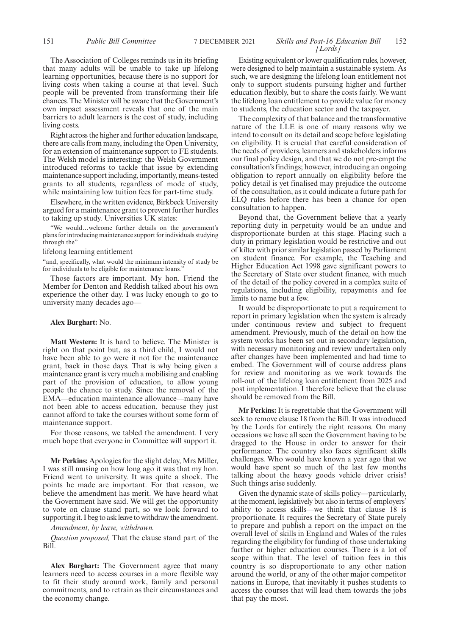## The Association of Colleges reminds us in its briefing that many adults will be unable to take up lifelong learning opportunities, because there is no support for living costs when taking a course at that level. Such people will be prevented from transforming their life chances. The Minister will be aware that the Government's own impact assessment reveals that one of the main barriers to adult learners is the cost of study, including living costs.

Right across the higher and further education landscape, there are calls from many, including the Open University, for an extension of maintenance support to FE students. The Welsh model is interesting: the Welsh Government introduced reforms to tackle that issue by extending maintenance support including, importantly, means-tested grants to all students, regardless of mode of study, while maintaining low tuition fees for part-time study.

Elsewhere, in the written evidence, Birkbeck University argued for a maintenance grant to prevent further hurdles to taking up study. Universities UK states:

"We would…welcome further details on the government's plans for introducing maintenance support for individuals studying through the'

## lifelong learning entitlement

"and, specifically, what would the minimum intensity of study be for individuals to be eligible for maintenance loans.

Those factors are important. My hon. Friend the Member for Denton and Reddish talked about his own experience the other day. I was lucky enough to go to university many decades ago—

### **Alex Burghart:** No.

**Matt Western:** It is hard to believe. The Minister is right on that point but, as a third child, I would not have been able to go were it not for the maintenance grant, back in those days. That is why being given a maintenance grant is very much a mobilising and enabling part of the provision of education, to allow young people the chance to study. Since the removal of the EMA—education maintenance allowance—many have not been able to access education, because they just cannot afford to take the courses without some form of maintenance support.

For those reasons, we tabled the amendment. I very much hope that everyone in Committee will support it.

**Mr Perkins:** Apologies for the slight delay, Mrs Miller, I was still musing on how long ago it was that my hon. Friend went to university. It was quite a shock. The points he made are important. For that reason, we believe the amendment has merit. We have heard what the Government have said. We will get the opportunity to vote on clause stand part, so we look forward to supporting it. I beg to ask leave to withdraw the amendment.

## *Amendment, by leave, withdrawn.*

*Question proposed,* That the clause stand part of the Bill.

**Alex Burghart:** The Government agree that many learners need to access courses in a more flexible way to fit their study around work, family and personal commitments, and to retrain as their circumstances and the economy change.

## 151 *Public Bill Committee Skills and Post-16 Education Bill* 7 DECEMBER 2021 152 *[Lords]*

Existing equivalent or lower qualification rules, however, were designed to help maintain a sustainable system. As such, we are designing the lifelong loan entitlement not only to support students pursuing higher and further education flexibly, but to share the costs fairly. We want the lifelong loan entitlement to provide value for money to students, the education sector and the taxpayer.

The complexity of that balance and the transformative nature of the LLE is one of many reasons why we intend to consult on its detail and scope before legislating on eligibility. It is crucial that careful consideration of the needs of providers, learners and stakeholders informs our final policy design, and that we do not pre-empt the consultation's findings; however, introducing an ongoing obligation to report annually on eligibility before the policy detail is yet finalised may prejudice the outcome of the consultation, as it could indicate a future path for ELQ rules before there has been a chance for open consultation to happen.

Beyond that, the Government believe that a yearly reporting duty in perpetuity would be an undue and disproportionate burden at this stage. Placing such a duty in primary legislation would be restrictive and out of kilter with prior similar legislation passed by Parliament on student finance. For example, the Teaching and Higher Education Act 1998 gave significant powers to the Secretary of State over student finance, with much of the detail of the policy covered in a complex suite of regulations, including eligibility, repayments and fee limits to name but a few.

It would be disproportionate to put a requirement to report in primary legislation when the system is already under continuous review and subject to frequent amendment. Previously, much of the detail on how the system works has been set out in secondary legislation, with necessary monitoring and review undertaken only after changes have been implemented and had time to embed. The Government will of course address plans for review and monitoring as we work towards the roll-out of the lifelong loan entitlement from 2025 and post implementation. I therefore believe that the clause should be removed from the Bill.

**Mr Perkins:** It is regrettable that the Government will seek to remove clause 18 from the Bill. It was introduced by the Lords for entirely the right reasons. On many occasions we have all seen the Government having to be dragged to the House in order to answer for their performance. The country also faces significant skills challenges. Who would have known a year ago that we would have spent so much of the last few months talking about the heavy goods vehicle driver crisis? Such things arise suddenly.

Given the dynamic state of skills policy—particularly, at the moment, legislatively but also in terms of employers' ability to access skills—we think that clause 18 is proportionate. It requires the Secretary of State purely to prepare and publish a report on the impact on the overall level of skills in England and Wales of the rules regarding the eligibility for funding of those undertaking further or higher education courses. There is a lot of scope within that. The level of tuition fees in this country is so disproportionate to any other nation around the world, or any of the other major competitor nations in Europe, that inevitably it pushes students to access the courses that will lead them towards the jobs that pay the most.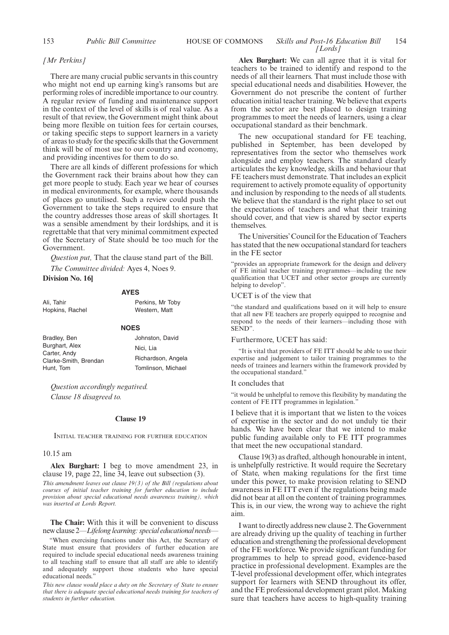## 153 *Public Bill Committee* **HOUSE OF COMMONS** *Skills and Post-16 Education Bill* 154 *[Lords]*

#### *[Mr Perkins]*

There are many crucial public servants in this country who might not end up earning king's ransoms but are performing roles of incredible importance to our country. A regular review of funding and maintenance support in the context of the level of skills is of real value. As a result of that review, the Government might think about being more flexible on tuition fees for certain courses, or taking specific steps to support learners in a variety of areas to study for the specific skills that the Government think will be of most use to our country and economy, and providing incentives for them to do so.

There are all kinds of different professions for which the Government rack their brains about how they can get more people to study. Each year we hear of courses in medical environments, for example, where thousands of places go unutilised. Such a review could push the Government to take the steps required to ensure that the country addresses those areas of skill shortages. It was a sensible amendment by their lordships, and it is regrettable that that very minimal commitment expected of the Secretary of State should be too much for the Government.

*Question put,* That the clause stand part of the Bill.

*The Committee divided:* Ayes 4, Noes 9. **Division No. 16]**

## **AYES**

| Ali. Tahir      | Perkins, Mr Toby |
|-----------------|------------------|
| Hopkins, Rachel | Western, Matt    |
|                 | <b>NOFS</b>      |

| Bradley, Ben          | Johnston, David    |
|-----------------------|--------------------|
| Burghart, Alex        | Nici. Lia          |
| Carter, Andy          |                    |
| Clarke-Smith, Brendan | Richardson, Angela |
| Hunt, Tom             | Tomlinson, Michael |

*Question accordingly negatived. Clause 18 disagreed to.*

#### **Clause 19**

INITIAL TEACHER TRAINING FOR FURTHER EDUCATION

#### 10.15 am

**Alex Burghart:** I beg to move amendment 23, in clause 19, page 22, line 34, leave out subsection (3).

*This amendment leaves out clause 19(3) of the Bill (regulations about courses of initial teacher training for further education to include provision about special educational needs awareness training), which was inserted at Lords Report.*

**The Chair:** With this it will be convenient to discuss new clause 2—*Lifelong learning: special educational needs*—

"When exercising functions under this Act, the Secretary of State must ensure that providers of further education are required to include special educational needs awareness training to all teaching staff to ensure that all staff are able to identify and adequately support those students who have special educational needs.'

*This new clause would place a duty on the Secretary of State to ensure that there is adequate special educational needs training for teachers of students in further education.*

**Alex Burghart:** We can all agree that it is vital for teachers to be trained to identify and respond to the needs of all their learners. That must include those with special educational needs and disabilities. However, the Government do not prescribe the content of further education initial teacher training. We believe that experts from the sector are best placed to design training programmes to meet the needs of learners, using a clear occupational standard as their benchmark.

The new occupational standard for FE teaching, published in September, has been developed by representatives from the sector who themselves work alongside and employ teachers. The standard clearly articulates the key knowledge, skills and behaviour that FE teachers must demonstrate. That includes an explicit requirement to actively promote equality of opportunity and inclusion by responding to the needs of all students. We believe that the standard is the right place to set out the expectations of teachers and what their training should cover, and that view is shared by sector experts themselves.

The Universities'Council for the Education of Teachers has stated that the new occupational standard for teachers in the FE sector

"provides an appropriate framework for the design and delivery of FE initial teacher training programmes—including the new qualification that UCET and other sector groups are currently helping to develop".

#### UCET is of the view that

"the standard and qualifications based on it will help to ensure that all new FE teachers are properly equipped to recognise and respond to the needs of their learners—including those with SEND".

#### Furthermore, UCET has said:

"It is vital that providers of FE ITT should be able to use their expertise and judgement to tailor training programmes to the needs of trainees and learners within the framework provided by the occupational standard."

#### It concludes that

"it would be unhelpful to remove this flexibility by mandating the content of FE ITT programmes in legislation."

I believe that it is important that we listen to the voices of expertise in the sector and do not unduly tie their hands. We have been clear that we intend to make public funding available only to FE ITT programmes that meet the new occupational standard.

Clause 19(3) as drafted, although honourable in intent, is unhelpfully restrictive. It would require the Secretary of State, when making regulations for the first time under this power, to make provision relating to SEND awareness in FE ITT even if the regulations being made did not bear at all on the content of training programmes. This is, in our view, the wrong way to achieve the right aim.

I want to directly address new clause 2. The Government are already driving up the quality of teaching in further education and strengthening the professional development of the FE workforce. We provide significant funding for programmes to help to spread good, evidence-based practice in professional development. Examples are the T-level professional development offer, which integrates support for learners with SEND throughout its offer, and the FE professional development grant pilot. Making sure that teachers have access to high-quality training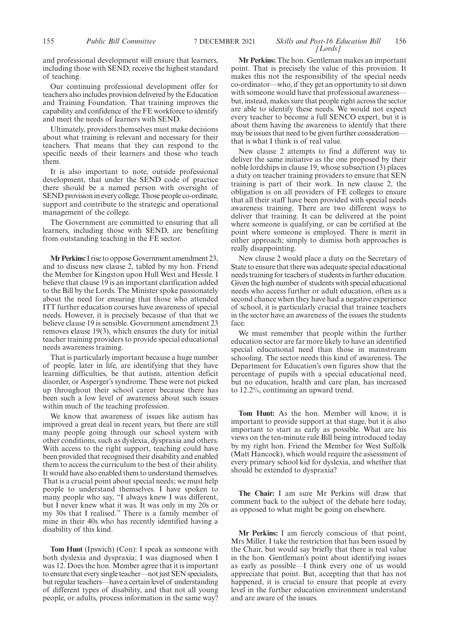## and professional development will ensure that learners, including those with SEND, receive the highest standard of teaching.

Our continuing professional development offer for teachers also includes provision delivered by the Education and Training Foundation. That training improves the capability and confidence of the FE workforce to identify and meet the needs of learners with SEND.

Ultimately, providers themselves must make decisions about what training is relevant and necessary for their teachers. That means that they can respond to the specific needs of their learners and those who teach them.

It is also important to note, outside professional development, that under the SEND code of practice there should be a named person with oversight of SEND provision in every college. Those people co-ordinate, support and contribute to the strategic and operational management of the college.

The Government are committed to ensuring that all learners, including those with SEND, are benefiting from outstanding teaching in the FE sector.

**Mr Perkins:**I rise to oppose Government amendment 23, and to discuss new clause 2, tabled by my hon. Friend the Member for Kingston upon Hull West and Hessle. I believe that clause 19 is an important clarification added to the Bill by the Lords. The Minister spoke passionately about the need for ensuring that those who attended ITT further education courses have awareness of special needs. However, it is precisely because of that that we believe clause 19 is sensible. Government amendment 23 removes **c**lause 19(3), which ensures the duty for initial teacher training providers to provide special educational needs awareness training.

That is particularly important because a huge number of people, later in life, are identifying that they have learning difficulties, be that autism, attention deficit disorder, or Asperger's syndrome. These were not picked up throughout their school career because there has been such a low level of awareness about such issues within much of the teaching profession.

We know that awareness of issues like autism has improved a great deal in recent years, but there are still many people going through our school system with other conditions, such as dyslexia, dyspraxia and others. With access to the right support, teaching could have been provided that recognised their disability and enabled them to access the curriculum to the best of their ability. It would have also enabled them to understand themselves. That is a crucial point about special needs; we must help people to understand themselves. I have spoken to many people who say, "I always knew I was different, but I never knew what it was. It was only in my 20s or my 30s that I realised." There is a family member of mine in their 40s who has recently identified having a disability of this kind.

**Tom Hunt** (Ipswich) (Con): I speak as someone with both dyslexia and dyspraxia; I was diagnosed when I was 12. Does the hon. Member agree that it is important to ensure that every single teacher—not just SEN specialists, but regular teachers—have a certain level of understanding of different types of disability, and that not all young people, or adults, process information in the same way?

## 155 *Public Bill Committee Skills and Post-16 Education Bill* 7 DECEMBER 2021 156 *[Lords]*

**Mr Perkins:** The hon. Gentleman makes an important point. That is precisely the value of this provision. It makes this not the responsibility of the special needs co-ordinator—who, if they get an opportunity to sit down with someone would have that professional awareness but, instead, makes sure that people right across the sector are able to identify these needs. We would not expect every teacher to become a full SENCO expert, but it is about them having the awareness to identify that there may be issues that need to be given further consideration that is what I think is of real value.

New clause 2 attempts to find a different way to deliver the same initiative as the one proposed by their noble lordships in clause 19, whose subsection (3) places a duty on teacher training providers to ensure that SEN training is part of their work. In new clause 2, the obligation is on all providers of FE colleges to ensure that all their staff have been provided with special needs awareness training. There are two different ways to deliver that training. It can be delivered at the point where someone is qualifying, or can be certified at the point where someone is employed. There is merit in either approach; simply to dismiss both approaches is really disappointing.

New clause 2 would place a duty on the Secretary of State to ensure that there was adequate special educational needs training for teachers of students in further education. Given the high number of students with special educational needs who access further or adult education, often as a second chance when they have had a negative experience of school, it is particularly crucial that trainee teachers in the sector have an awareness of the issues the students face.

We must remember that people within the further education sector are far more likely to have an identified special educational need than those in mainstream schooling. The sector needs this kind of awareness. The Department for Education's own figures show that the percentage of pupils with a special educational need, but no education, health and care plan, has increased to 12.2%, continuing an upward trend.

**Tom Hunt:** As the hon. Member will know, it is important to provide support at that stage, but it is also important to start as early as possible. What are his views on the ten-minute rule Bill being introduced today by my right hon. Friend the Member for West Suffolk (Matt Hancock), which would require the assessment of every primary school kid for dyslexia, and whether that should be extended to dyspraxia?

**The Chair:** I am sure Mr Perkins will draw that comment back to the subject of the debate here today, as opposed to what might be going on elsewhere.

**Mr Perkins:** I am fiercely conscious of that point, Mrs Miller. I take the restriction that has been issued by the Chair, but would say briefly that there is real value in the hon. Gentleman's point about identifying issues as early as possible—I think every one of us would appreciate that point. But, accepting that that has not happened, it is crucial to ensure that people at every level in the further education environment understand and are aware of the issues.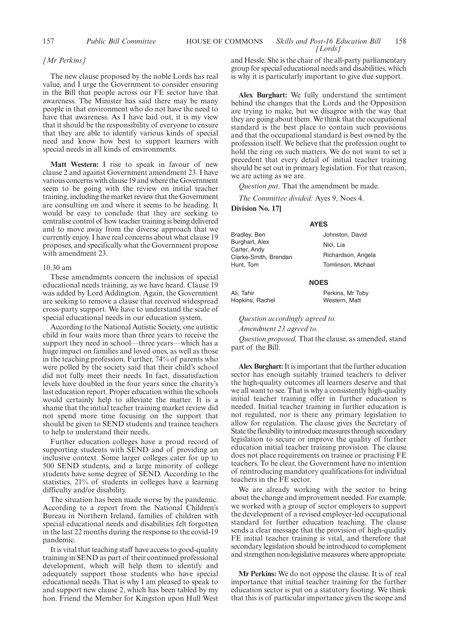## *[Mr Perkins]*

The new clause proposed by the noble Lords has real value, and I urge the Government to consider ensuring in the Bill that people across our FE sector have that awareness. The Minister has said there may be many people in that environment who do not have the need to have that awareness. As I have laid out, it is my view that it should be the responsibility of everyone to ensure that they are able to identify various kinds of special need and know how best to support learners with special needs in all kinds of environments.

**Matt Western:** I rise to speak in favour of new clause 2 and against Government amendment 23. I have various concerns with clause 19 and where the Government seem to be going with the review on initial teacher training, including the market review that the Government are consulting on and where it seems to be heading. It would be easy to conclude that they are seeking to centralise control of how teacher training is being delivered and to move away from the diverse approach that we currently enjoy. I have real concerns about what clause 19 proposes, and specifically what the Government propose with amendment 23.

#### 10.30 am

These amendments concern the inclusion of special educational needs training, as we have heard. Clause 19 was added by Lord Addington. Again, the Government are seeking to remove a clause that received widespread cross-party support. We have to understand the scale of special educational needs in our education system.

According to the National Autistic Society, one autistic child in four waits more than three years to receive the support they need in school—three years—which has a huge impact on families and loved ones, as well as those in the teaching profession. Further, 74% of parents who were polled by the society said that their child's school did not fully meet their needs. In fact, dissatisfaction levels have doubled in the four years since the charity's last education report. Proper education within the schools would certainly help to alleviate the matter. It is a shame that the initial teacher training market review did not spend more time focusing on the support that should be given to SEND students and trainee teachers to help to understand their needs.

Further education colleges have a proud record of supporting students with SEND and of providing an inclusive context. Some larger colleges cater for up to 500 SEND students, and a large minority of college students have some degree of SEND. According to the statistics, 21% of students in colleges have a learning difficulty and/or disability.

The situation has been made worse by the pandemic. According to a report from the National Children's Bureau in Northern Ireland, families of children with special educational needs and disabilities felt forgotten in the last 22 months during the response to the covid-19 pandemic.

It is vital that teaching staff have access to good-quality training in SEND as part of their continued professional development, which will help them to identify and adequately support those students who have special educational needs. That is why I am pleased to speak to and support new clause 2, which has been tabled by my hon. Friend the Member for Kingston upon Hull West and Hessle. She is the chair of the all-party parliamentary group for special educational needs and disabilities, which is why it is particularly important to give due support.

**Alex Burghart:** We fully understand the sentiment behind the changes that the Lords and the Opposition are trying to make, but we disagree with the way that they are going about them. We think that the occupational standard is the best place to contain such provisions and that the occupational standard is best owned by the profession itself. We believe that the profession ought to hold the ring on such matters. We do not want to set a precedent that every detail of initial teacher training should be set out in primary legislation. For that reason, we are acting as we are.

*Question put,* That the amendment be made.

*The Committee divided:* Ayes 9, Noes 4.

**Division No. 17]**

### **AYES**

| Bradley, Ben          | Johnston, David    |
|-----------------------|--------------------|
| Burghart, Alex        | Nici. Lia          |
| Carter, Andy          |                    |
| Clarke-Smith, Brendan | Richardson, Angela |
| Hunt, Tom             | Tomlinson, Michael |
|                       |                    |

#### **NOES**

Ali, Tahir Hopkins, Rachel Perkins, Mr Toby Western, Matt

*Question accordingly agreed to.*

*Amendment 23 agreed to.*

*Question proposed,* That the clause, as amended, stand part of the Bill.

**Alex Burghart:**It is important that the further education sector has enough suitably trained teachers to deliver the high-quality outcomes all learners deserve and that we all want to see. That is why a consistently high-quality initial teacher training offer in further education is needed. Initial teacher training in further education is not regulated, nor is there any primary legislation to allow for regulation. The clause gives the Secretary of State the flexibility to introduce measures through secondary legislation to secure or improve the quality of further education initial teacher training provision. The clause does not place requirements on trainee or practising FE teachers. To be clear, the Government have no intention of reintroducing mandatory qualifications for individual teachers in the FE sector.

We are already working with the sector to bring about the change and improvement needed. For example, we worked with a group of sector employers to support the development of a revised employer-led occupational standard for further education teaching. The clause sends a clear message that the provision of high-quality FE initial teacher training is vital, and therefore that secondary legislation should be introduced to complement and strengthen non-legislative measures where appropriate.

**Mr Perkins:** We do not oppose the clause. It is of real importance that initial teacher training for the further education sector is put on a statutory footing. We think that this is of particular importance given the scope and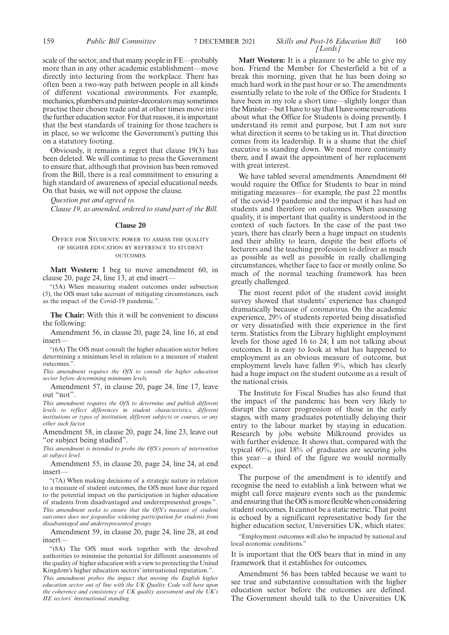## 159 **Public Bill Committee** 7 DECEMBER 2021 Skills and Post-16 Education Bill 160 *[Lords]*

scale of the sector, and that many people in FE—probably more than in any other academic establishment—move directly into lecturing from the workplace. There has often been a two-way path between people in all kinds of different vocational environments. For example, mechanics, plumbers and painter-decorators may sometimes practise their chosen trade and at other times move into the further education sector. For that reason, it is important that the best standards of training for those teachers is in place, so we welcome the Government's putting this on a statutory footing.

Obviously, it remains a regret that clause 19(3) has been deleted. We will continue to press the Government to ensure that, although that provision has been removed from the Bill, there is a real commitment to ensuring a high standard of awareness of special educational needs. On that basis, we will not oppose the clause.

*Question put and agreed to.*

*Clause 19, as amended, ordered to stand part of the Bill.*

#### **Clause 20**

#### OFFICE FOR STUDENTS: POWER TO ASSESS THE QUALITY OF HIGHER EDUCATION BY REFERENCE TO STUDENT OUTCOMES

**Matt Western:** I beg to move amendment 60, in clause 20, page 24, line 13, at end insert—

"(5A) When measuring student outcomes under subsection (5), the OfS must take account of mitigating circumstances, such as the impact of the Covid-19 pandemic.".

**The Chair:** With this it will be convenient to discuss the following:

Amendment 56, in clause 20, page 24, line 16, at end insert—

"(6A) The OfS must consult the higher education sector before determining a minimum level in relation to a measure of student outcomes.".

*This amendment requires the OfS to consult the higher education sector before determining minimum levels.*

Amendment 57, in clause 20, page 24, line 17, leave out "not".

*This amendment requires the OfS to determine and publish different levels to reflect differences in student characteristics, different institutions or types of institution, different subjects or courses, or any other such factor.*

Amendment 58, in clause 20, page 24, line 23, leave out "or subject being studied".

*This amendment is intended to probe the OfS's powers of intervention at subject level.*

Amendment 55, in clause 20, page 24, line 24, at end insert—

"(7A) When making decisions of a strategic nature in relation to a measure of student outcomes, the OfS must have due regard to the potential impact on the participation in higher education of students from disadvantaged and underrepresented groups.". *This amendment seeks to ensure that the OfS's measure of student outcomes does not jeopardise widening participation for students from disadvantaged and underrepresented groups.*

Amendment 59, in clause 20, page 24, line 28, at end insert—

"(8A) The OfS must work together with the devolved authorities to minimise the potential for different assessments of the quality of higher education with a view to protecting the United Kingdom's higher education sectors' international reputation.".

*This amendment probes the impact that moving the English higher education sector out of line with the UK Quality Code will have upon the coherence and consistency of UK quality assessment and the UK's HE sectors' international standing.*

**Matt Western:** It is a pleasure to be able to give my hon. Friend the Member for Chesterfield a bit of a break this morning, given that he has been doing so much hard work in the past hour or so. The amendments essentially relate to the role of the Office for Students. I have been in my role a short time—slightly longer than the Minister—but I have to say that I have some reservations about what the Office for Students is doing presently. I understand its remit and purpose, but I am not sure what direction it seems to be taking us in. That direction comes from its leadership. It is a shame that the chief executive is standing down. We need more continuity there, and I await the appointment of her replacement with great interest.

We have tabled several amendments. Amendment 60 would require the Office for Students to bear in mind mitigating measures—for example, the past 22 months of the covid-19 pandemic and the impact it has had on students and therefore on outcomes. When assessing quality, it is important that quality is understood in the context of such factors. In the case of the past two years, there has clearly been a huge impact on students and their ability to learn, despite the best efforts of lecturers and the teaching profession to deliver as much as possible as well as possible in really challenging circumstances, whether face to face or mostly online. So much of the normal teaching framework has been greatly challenged.

The most recent pilot of the student covid insight survey showed that students' experience has changed dramatically because of coronavirus. On the academic experience, 29% of students reported being dissatisfied or very dissatisfied with their experience in the first term. Statistics from the Library highlight employment levels for those aged 16 to 24; I am not talking about outcomes. It is easy to look at what has happened to employment as an obvious measure of outcome, but employment levels have fallen 9%, which has clearly had a huge impact on the student outcome as a result of the national crisis.

The Institute for Fiscal Studies has also found that the impact of the pandemic has been very likely to disrupt the career progression of those in the early stages, with many graduates potentially delaying their entry to the labour market by staying in education. Research by jobs website Milkround provides us with further evidence. It shows that, compared with the typical 60%, just 18% of graduates are securing jobs this year—a third of the figure we would normally expect.

The purpose of the amendment is to identify and recognise the need to establish a link between what we might call force majeure events such as the pandemic and ensuring that the OfS is more flexible when considering student outcomes. It cannot be a static metric. That point is echoed by a significant representative body for the higher education sector, Universities UK, which states:

"Employment outcomes will also be impacted by national and local economic conditions."

It is important that the OfS bears that in mind in any framework that it establishes for outcomes.

Amendment 56 has been tabled because we want to see true and substantive consultation with the higher education sector before the outcomes are defined. The Government should talk to the Universities UK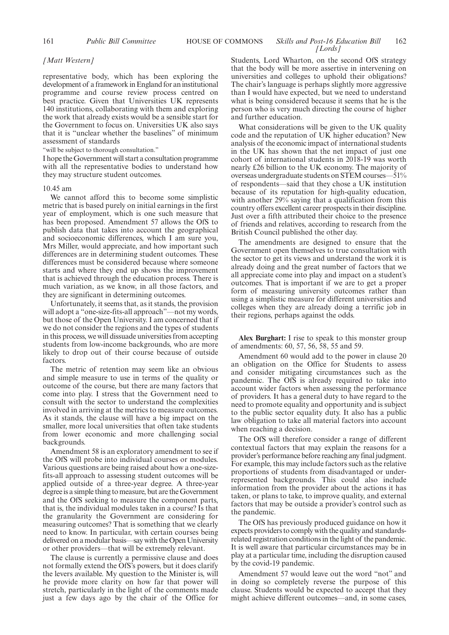## 161 *Public Bill Committee* **HOUSE OF COMMONS** *Skills and Post-16 Education Bill* 162 *[Lords]*

## *[Matt Western]*

representative body, which has been exploring the development of a framework in England for an institutional programme and course review process centred on best practice. Given that Universities UK represents 140 institutions, collaborating with them and exploring the work that already exists would be a sensible start for the Government to focus on. Universities UK also says that it is "unclear whether the baselines" of minimum assessment of standards

"will be subject to thorough consultation."

I hope the Government will start a consultation programme with all the representative bodies to understand how they may structure student outcomes.

#### 10.45 am

We cannot afford this to become some simplistic metric that is based purely on initial earnings in the first year of employment, which is one such measure that has been proposed. Amendment 57 allows the OfS to publish data that takes into account the geographical and socioeconomic differences, which I am sure you, Mrs Miller, would appreciate, and how important such differences are in determining student outcomes. These differences must be considered because where someone starts and where they end up shows the improvement that is achieved through the education process. There is much variation, as we know, in all those factors, and they are significant in determining outcomes.

Unfortunately, it seems that, as it stands, the provision will adopt a "one-size-fits-all approach"—not my words, but those of the Open University. I am concerned that if we do not consider the regions and the types of students in this process, we will dissuade universities from accepting students from low-income backgrounds, who are more likely to drop out of their course because of outside factors.

The metric of retention may seem like an obvious and simple measure to use in terms of the quality or outcome of the course, but there are many factors that come into play. I stress that the Government need to consult with the sector to understand the complexities involved in arriving at the metrics to measure outcomes. As it stands, the clause will have a big impact on the smaller, more local universities that often take students from lower economic and more challenging social backgrounds.

Amendment 58 is an exploratory amendment to see if the OfS will probe into individual courses or modules. Various questions are being raised about how a one-sizefits-all approach to assessing student outcomes will be applied outside of a three-year degree. A three-year degree is a simple thing to measure, but are the Government and the OfS seeking to measure the component parts, that is, the individual modules taken in a course? Is that the granularity the Government are considering for measuring outcomes? That is something that we clearly need to know. In particular, with certain courses being delivered on a modular basis—say with the Open University or other providers—that will be extremely relevant.

The clause is currently a permissive clause and does not formally extend the OfS's powers, but it does clarify the levers available. My question to the Minister is, will he provide more clarity on how far that power will stretch, particularly in the light of the comments made just a few days ago by the chair of the Office for Students, Lord Wharton, on the second OfS strategy that the body will be more assertive in intervening on universities and colleges to uphold their obligations? The chair's language is perhaps slightly more aggressive than I would have expected, but we need to understand what is being considered because it seems that he is the person who is very much directing the course of higher and further education.

What considerations will be given to the UK quality code and the reputation of UK higher education? New analysis of the economic impact of international students in the UK has shown that the net impact of just one cohort of international students in 2018-19 was worth nearly £26 billion to the UK economy. The majority of overseas undergraduate students on STEM courses—51% of respondents—said that they chose a UK institution because of its reputation for high-quality education, with another 29% saying that a qualification from this country offers excellent career prospects in their discipline. Just over a fifth attributed their choice to the presence of friends and relatives, according to research from the British Council published the other day.

The amendments are designed to ensure that the Government open themselves to true consultation with the sector to get its views and understand the work it is already doing and the great number of factors that we all appreciate come into play and impact on a student's outcomes. That is important if we are to get a proper form of measuring university outcomes rather than using a simplistic measure for different universities and colleges when they are already doing a terrific job in their regions, perhaps against the odds.

**Alex Burghart:** I rise to speak to this monster group of amendments: 60, 57, 56, 58, 55 and 59.

Amendment 60 would add to the power in clause 20 an obligation on the Office for Students to assess and consider mitigating circumstances such as the pandemic. The OfS is already required to take into account wider factors when assessing the performance of providers. It has a general duty to have regard to the need to promote equality and opportunity and is subject to the public sector equality duty. It also has a public law obligation to take all material factors into account when reaching a decision.

The OfS will therefore consider a range of different contextual factors that may explain the reasons for a provider's performance before reaching any final judgment. For example, this may include factors such as the relative proportions of students from disadvantaged or underrepresented backgrounds. This could also include information from the provider about the actions it has taken, or plans to take, to improve quality, and external factors that may be outside a provider's control such as the pandemic.

The OfS has previously produced guidance on how it expects providers to comply with the quality and standardsrelated registration conditions in the light of the pandemic. It is well aware that particular circumstances may be in play at a particular time, including the disruption caused by the covid-19 pandemic.

Amendment 57 would leave out the word "not" and in doing so completely reverse the purpose of this clause. Students would be expected to accept that they might achieve different outcomes—and, in some cases,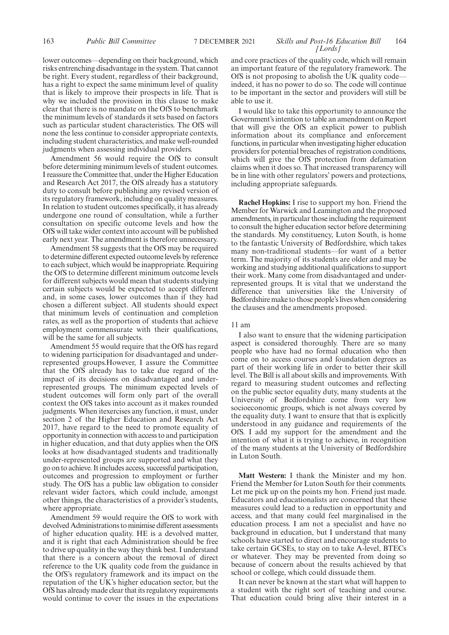## 163 **Public Bill Committee** 7 DECEMBER 2021 *Skills and Post-16 Education Bill* 164 *[Lords]*

lower outcomes—depending on their background, which risks entrenching disadvantage in the system. That cannot be right. Every student, regardless of their background, has a right to expect the same minimum level of quality that is likely to improve their prospects in life. That is why we included the provision in this clause to make clear that there is no mandate on the OfS to benchmark the minimum levels of standards it sets based on factors such as particular student characteristics. The OfS will none the less continue to consider appropriate contexts, including student characteristics, and make well-rounded judgments when assessing individual providers.

Amendment 56 would require the OfS to consult before determining minimum levels of student outcomes. I reassure the Committee that, under the Higher Education and Research Act 2017, the OfS already has a statutory duty to consult before publishing any revised version of its regulatory framework, including on quality measures. In relation to student outcomes specifically, it has already undergone one round of consultation, while a further consultation on specific outcome levels and how the OfS will take wider context into account will be published early next year. The amendment is therefore unnecessary.

Amendment 58 suggests that the OfS may be required to determine different expected outcome levels by reference to each subject, which would be inappropriate. Requiring the OfS to determine different minimum outcome levels for different subjects would mean that students studying certain subjects would be expected to accept different and, in some cases, lower outcomes than if they had chosen a different subject. All students should expect that minimum levels of continuation and completion rates, as well as the proportion of students that achieve employment commensurate with their qualifications, will be the same for all subjects.

Amendment 55 would require that the OfS has regard to widening participation for disadvantaged and underrepresented groups.However, I assure the Committee that the OfS already has to take due regard of the impact of its decisions on disadvantaged and underrepresented groups. The minimum expected levels of student outcomes will form only part of the overall context the OfS takes into account as it makes rounded judgments. When itexercises any function, it must, under section 2 of the Higher Education and Research Act 2017, have regard to the need to promote equality of opportunity in connection with access to and participation in higher education, and that duty applies when the OfS looks at how disadvantaged students and traditionally under-represented groups are supported and what they go on to achieve. It includes access, successful participation, outcomes and progression to employment or further study. The OfS has a public law obligation to consider relevant wider factors, which could include, amongst other things, the characteristics of a provider's students, where appropriate.

Amendment 59 would require the OfS to work with devolved Administrations to minimise different assessments of higher education quality. HE is a devolved matter, and it is right that each Administration should be free to drive up quality in the way they think best. I understand that there is a concern about the removal of direct reference to the UK quality code from the guidance in the OfS's regulatory framework and its impact on the reputation of the UK's higher education sector, but the OfS has already made clear that its regulatory requirements would continue to cover the issues in the expectations and core practices of the quality code, which will remain an important feature of the regulatory framework. The OfS is not proposing to abolish the UK quality code indeed, it has no power to do so. The code will continue to be important in the sector and providers will still be able to use it.

I would like to take this opportunity to announce the Government's intention to table an amendment on Report that will give the OfS an explicit power to publish information about its compliance and enforcement functions, in particular when investigating higher education providers for potential breaches of registration conditions, which will give the OfS protection from defamation claims when it does so. That increased transparency will be in line with other regulators' powers and protections, including appropriate safeguards.

**Rachel Hopkins:** I rise to support my hon. Friend the Member for Warwick and Leamington and the proposed amendments, in particular those including the requirement to consult the higher education sector before determining the standards. My constituency, Luton South, is home to the fantastic University of Bedfordshire, which takes many non-traditional students—for want of a better term. The majority of its students are older and may be working and studying additional qualifications to support their work. Many come from disadvantaged and underrepresented groups. It is vital that we understand the difference that universities like the University of Bedfordshire make to those people's lives when considering the clauses and the amendments proposed.

#### 11 am

I also want to ensure that the widening participation aspect is considered thoroughly. There are so many people who have had no formal education who then come on to access courses and foundation degrees as part of their working life in order to better their skill level. The Bill is all about skills and improvements. With regard to measuring student outcomes and reflecting on the public sector equality duty, many students at the University of Bedfordshire come from very low socioeconomic groups, which is not always covered by the equality duty. I want to ensure that that is explicitly understood in any guidance and requirements of the OfS. I add my support for the amendment and the intention of what it is trying to achieve, in recognition of the many students at the University of Bedfordshire in Luton South.

**Matt Western:** I thank the Minister and my hon. Friend the Member for Luton South for their comments. Let me pick up on the points my hon. Friend just made. Educators and educationalists are concerned that these measures could lead to a reduction in opportunity and access, and that many could feel marginalised in the education process. I am not a specialist and have no background in education, but I understand that many schools have started to direct and encourage students to take certain GCSEs, to stay on to take A-level, BTECs or whatever. They may be prevented from doing so because of concern about the results achieved by that school or college, which could dissuade them.

It can never be known at the start what will happen to a student with the right sort of teaching and course. That education could bring alive their interest in a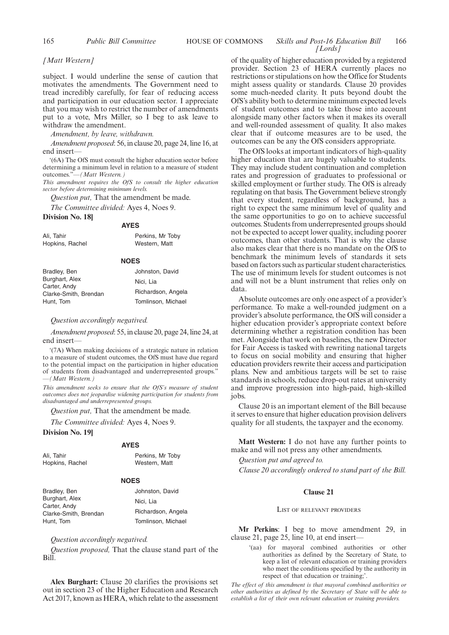## 165 *Public Bill Committee* **HOUSE OF COMMONS** *Skills and Post-16 Education Bill* 166 *[Lords]*

*[Matt Western]*

subject. I would underline the sense of caution that motivates the amendments. The Government need to tread incredibly carefully, for fear of reducing access and participation in our education sector. I appreciate that you may wish to restrict the number of amendments put to a vote, Mrs Miller, so I beg to ask leave to withdraw the amendment.

*Amendment, by leave, withdrawn.*

*Amendment proposed*: 56, in clause 20, page 24, line 16, at end insert—

'(6A) The OfS must consult the higher education sector before determining a minimum level in relation to a measure of student outcomes."—*(Matt Western.)*

*This amendment requires the OfS to consult the higher education sector before determining minimum levels.*

**AYES**

*Question put,* That the amendment be made.

*The Committee divided:* Ayes 4, Noes 9.

#### **Division No. 18]**

|                 | <b>AILY</b>      |
|-----------------|------------------|
| Ali. Tahir      | Perkins, Mr Toby |
| Hopkins, Rachel | Western, Matt    |

## **NOES**

| Bradley, Ben                          | Johnston, David    |
|---------------------------------------|--------------------|
| Burghart, Alex                        | Nici. Lia          |
| Carter, Andy<br>Clarke-Smith, Brendan | Richardson, Angela |
| Hunt, Tom                             | Tomlinson, Michael |
|                                       |                    |

#### *Question accordingly negatived.*

*Amendment proposed*: 55, in clause 20, page 24, line 24, at end insert—

'(7A) When making decisions of a strategic nature in relation to a measure of student outcomes, the OfS must have due regard to the potential impact on the participation in higher education of students from disadvantaged and underrepresented groups." —*(Matt Western.)*

*This amendment seeks to ensure that the OfS's measure of student outcomes does not jeopardise widening participation for students from disadvantaged and underrepresented groups.*

*Question put,* That the amendment be made.

*The Committee divided:* Ayes 4, Noes 9.

## **Division No. 19]**

|                 | <b>AYES</b>      |
|-----------------|------------------|
| Ali. Tahir      | Perkins, Mr Toby |
| Hopkins, Rachel | Western, Matt    |

#### **NOES**

| Bradley, Ben                          | Johnston, David    |
|---------------------------------------|--------------------|
| Burghart, Alex                        | Nici. Lia          |
| Carter, Andy<br>Clarke-Smith, Brendan | Richardson, Angela |
| Hunt, Tom                             | Tomlinson, Michael |

## *Question accordingly negatived.*

*Question proposed,* That the clause stand part of the Bill.

**Alex Burghart:** Clause 20 clarifies the provisions set out in section 23 of the Higher Education and Research Act 2017, known as HERA, which relate to the assessment of the quality of higher education provided by a registered provider. Section 23 of HERA currently places no restrictions or stipulations on how the Office for Students might assess quality or standards. Clause 20 provides some much-needed clarity. It puts beyond doubt the OfS's ability both to determine minimum expected levels of student outcomes and to take those into account alongside many other factors when it makes its overall and well-rounded assessment of quality. It also makes clear that if outcome measures are to be used, the outcomes can be any the OfS considers appropriate.

The OfS looks at important indicators of high-quality higher education that are hugely valuable to students. They may include student continuation and completion rates and progression of graduates to professional or skilled employment or further study. The OfS is already regulating on that basis. The Government believe strongly that every student, regardless of background, has a right to expect the same minimum level of quality and the same opportunities to go on to achieve successful outcomes. Students from underrepresented groups should not be expected to accept lower quality, including poorer outcomes, than other students. That is why the clause also makes clear that there is no mandate on the OfS to benchmark the minimum levels of standards it sets based on factors such as particular student characteristics. The use of minimum levels for student outcomes is not and will not be a blunt instrument that relies only on data.

Absolute outcomes are only one aspect of a provider's performance. To make a well-rounded judgment on a provider's absolute performance, the OfS will consider a higher education provider's appropriate context before determining whether a registration condition has been met. Alongside that work on baselines, the new Director for Fair Access is tasked with rewriting national targets to focus on social mobility and ensuring that higher education providers rewrite their access and participation plans. New and ambitious targets will be set to raise standards in schools, reduce drop-out rates at university and improve progression into high-paid, high-skilled jobs.

Clause 20 is an important element of the Bill because it serves to ensure that higher education provision delivers quality for all students, the taxpayer and the economy.

**Matt Western:** I do not have any further points to make and will not press any other amendments.

*Question put and agreed to. Clause 20 accordingly ordered to stand part of the Bill.*

## **Clause 21**

#### LIST OF RELEVANT PROVIDERS

**Mr Perkins**: I beg to move amendment 29, in clause 21, page 25, line 10, at end insert—

> '(aa) for mayoral combined authorities or other authorities as defined by the Secretary of State, to keep a list of relevant education or training providers who meet the conditions specified by the authority in respect of that education or training;'.

*The effect of this amendment is that mayoral combined authorities or other authorities as defined by the Secretary of State will be able to establish a list of their own relevant education or training providers.*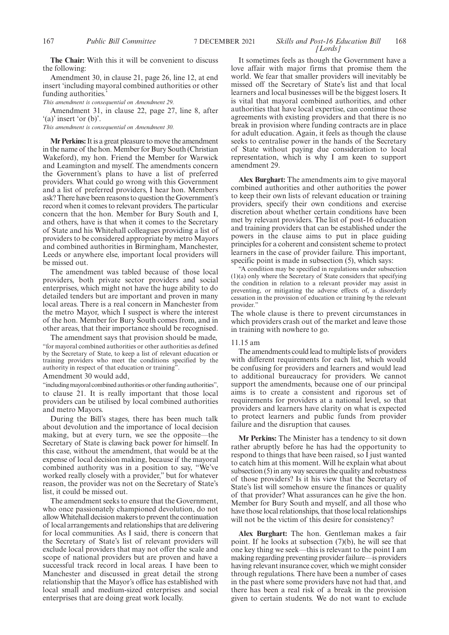## 167 *Public Bill Committee Skills and Post-16 Education Bill* 7 DECEMBER 2021 168 *[Lords]*

**The Chair:** With this it will be convenient to discuss the following:

Amendment 30, in clause 21, page 26, line 12, at end insert 'including mayoral combined authorities or other funding authorities.'

*This amendment is consequential on Amendment 29.*

Amendment 31, in clause 22, page 27, line 8, after '(a)' insert 'or (b)'.

*This amendment is consequential on Amendment 30.*

**Mr Perkins:**It is a great pleasure to move the amendment in the name of the hon. Member for Bury South (Christian Wakeford), my hon. Friend the Member for Warwick and Leamington and myself. The amendments concern the Government's plans to have a list of preferred providers. What could go wrong with this Government and a list of preferred providers, I hear hon. Members ask? There have been reasons to question the Government's record when it comes to relevant providers. The particular concern that the hon. Member for Bury South and I, and others, have is that when it comes to the Secretary of State and his Whitehall colleagues providing a list of providers to be considered appropriate by metro Mayors and combined authorities in Birmingham, Manchester, Leeds or anywhere else, important local providers will be missed out.

The amendment was tabled because of those local providers, both private sector providers and social enterprises, which might not have the huge ability to do detailed tenders but are important and proven in many local areas. There is a real concern in Manchester from the metro Mayor, which I suspect is where the interest of the hon. Member for Bury South comes from, and in other areas, that their importance should be recognised.

The amendment says that provision should be made, "for mayoral combined authorities or other authorities as defined by the Secretary of State, to keep a list of relevant education or training providers who meet the conditions specified by the authority in respect of that education or training".

Amendment 30 would add,

"including mayoral combined authorities or other funding authorities", to clause 21. It is really important that those local providers can be utilised by local combined authorities and metro Mayors.

During the Bill's stages, there has been much talk about devolution and the importance of local decision making, but at every turn, we see the opposite—the Secretary of State is clawing back power for himself. In this case, without the amendment, that would be at the expense of local decision making, because if the mayoral combined authority was in a position to say, "We've worked really closely with a provider," but for whatever reason, the provider was not on the Secretary of State's list, it could be missed out.

The amendment seeks to ensure that the Government, who once passionately championed devolution, do not allow Whitehall decision makers to prevent the continuation of local arrangements and relationships that are delivering for local communities. As I said, there is concern that the Secretary of State's list of relevant providers will exclude local providers that may not offer the scale and scope of national providers but are proven and have a successful track record in local areas. I have been to Manchester and discussed in great detail the strong relationship that the Mayor's office has established with local small and medium-sized enterprises and social enterprises that are doing great work locally.

It sometimes feels as though the Government have a love affair with major firms that promise them the world. We fear that smaller providers will inevitably be missed off the Secretary of State's list and that local learners and local businesses will be the biggest losers. It is vital that mayoral combined authorities, and other authorities that have local expertise, can continue those agreements with existing providers and that there is no break in provision where funding contracts are in place for adult education. Again, it feels as though the clause seeks to centralise power in the hands of the Secretary of State without paying due consideration to local representation, which is why I am keen to support amendment 29.

**Alex Burghart:** The amendments aim to give mayoral combined authorities and other authorities the power to keep their own lists of relevant education or training providers, specify their own conditions and exercise discretion about whether certain conditions have been met by relevant providers. The list of post-16 education and training providers that can be established under the powers in the clause aims to put in place guiding principles for a coherent and consistent scheme to protect learners in the case of provider failure. This important, specific point is made in subsection  $(5)$ , which says:

"A condition may be specified in regulations under subsection (1)(a) only where the Secretary of State considers that specifying the condition in relation to a relevant provider may assist in preventing, or mitigating the adverse effects of, a disorderly cessation in the provision of education or training by the relevant provider."

The whole clause is there to prevent circumstances in which providers crash out of the market and leave those in training with nowhere to go.

## 11.15 am

The amendments could lead to multiple lists of providers with different requirements for each list, which would be confusing for providers and learners and would lead to additional bureaucracy for providers. We cannot support the amendments, because one of our principal aims is to create a consistent and rigorous set of requirements for providers at a national level, so that providers and learners have clarity on what is expected to protect learners and public funds from provider failure and the disruption that causes.

**Mr Perkins:** The Minister has a tendency to sit down rather abruptly before he has had the opportunity to respond to things that have been raised, so I just wanted to catch him at this moment. Will he explain what about subsection (5) in any way secures the quality and robustness of those providers? Is it his view that the Secretary of State's list will somehow ensure the finances or quality of that provider? What assurances can he give the hon. Member for Bury South and myself, and all those who have those local relationships, that those local relationships will not be the victim of this desire for consistency?

**Alex Burghart:** The hon. Gentleman makes a fair point. If he looks at subsection (7)(b), he will see that one key thing we seek—this is relevant to the point I am making regarding preventing provider failure—is providers having relevant insurance cover, which we might consider through regulations. There have been a number of cases in the past where some providers have not had that, and there has been a real risk of a break in the provision given to certain students. We do not want to exclude